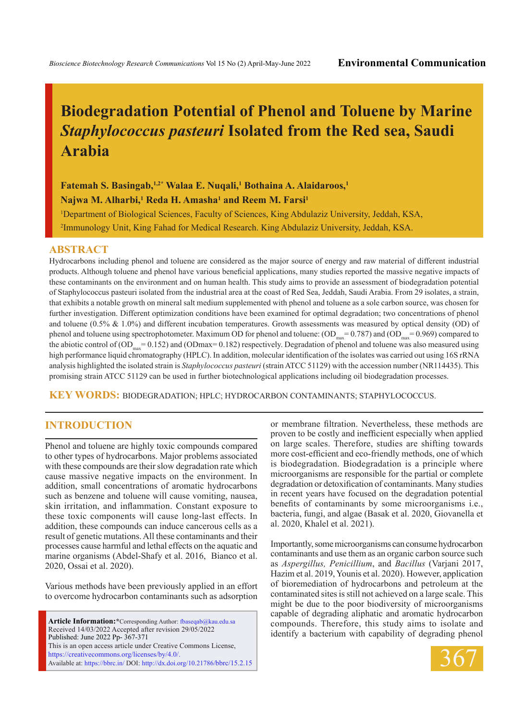# **Biodegradation Potential of Phenol and Toluene by Marine**  *Staphylococcus pasteuri* **Isolated from the Red sea, Saudi Arabia**

**Fatemah S. Basingab,1,2\* Walaa E. Nuqali,1 Bothaina A. Alaidaroos,1**  $\mathbf{N}$ ajwa M. Alharbi, $^1$  Reda H. Amasha $^1$  and Reem M. Farsi $^1$ 

1 Department of Biological Sciences, Faculty of Sciences, King Abdulaziz University, Jeddah, KSA, 2 Immunology Unit, King Fahad for Medical Research. King Abdulaziz University, Jeddah, KSA.

#### **ABSTRACT**

Hydrocarbons including phenol and toluene are considered as the major source of energy and raw material of different industrial products. Although toluene and phenol have various beneficial applications, many studies reported the massive negative impacts of these contaminants on the environment and on human health. This study aims to provide an assessment of biodegradation potential of Staphylococcus pasteuri isolated from the industrial area at the coast of Red Sea, Jeddah, Saudi Arabia. From 29 isolates, a strain, that exhibits a notable growth on mineral salt medium supplemented with phenol and toluene as a sole carbon source, was chosen for further investigation. Different optimization conditions have been examined for optimal degradation; two concentrations of phenol and toluene  $(0.5\% \& 1.0\%)$  and different incubation temperatures. Growth assessments was measured by optical density (OD) of phenol and toluene using spectrophotometer. Maximum OD for phenol and toluene:  $(OD_{max} = 0.787)$  and  $(OD_{max} = 0.969)$  compared to the abiotic control of (OD<sub>max</sub>= 0.152) and (ODmax= 0.182) respectively. Degradation of phenol and toluene was also measured using high performance liquid chromatography (HPLC). In addition, molecular identification of the isolates was carried out using 16S rRNA analysis highlighted the isolated strain is *Staphylococcus pasteuri* (strain ATCC 51129) with the accession number (NR114435). This promising strain ATCC 51129 can be used in further biotechnological applications including oil biodegradation processes.

**KEY WORDS:** Biodegradation; HPLC; Hydrocarbon contaminants; Staphylococcus.

# **INTRODUCTION**

Phenol and toluene are highly toxic compounds compared to other types of hydrocarbons. Major problems associated with these compounds are their slow degradation rate which cause massive negative impacts on the environment. In addition, small concentrations of aromatic hydrocarbons such as benzene and toluene will cause vomiting, nausea, skin irritation, and inflammation. Constant exposure to these toxic components will cause long-last effects. In addition, these compounds can induce cancerous cells as a result of genetic mutations. All these contaminants and their processes cause harmful and lethal effects on the aquatic and marine organisms (Abdel-Shafy et al. 2016, Bianco et al. 2020, Ossai et al. 2020).

Various methods have been previously applied in an effort to overcome hydrocarbon contaminants such as adsorption

Article Information:\*Corresponding Author: fbaseqab@kau.edu.sa Received 14/03/2022 Accepted after revision 29/05/2022 Published: June 2022 Pp- 367-371 This is an open access article under Creative Commons License, https://creativecommons.org/licenses/by/4.0/. Available at: https://bbrc.in/ DOI: http://dx.doi.org/10.21786/bbrc/15.2.15 or membrane filtration. Nevertheless, these methods are proven to be costly and inefficient especially when applied on large scales. Therefore, studies are shifting towards more cost-efficient and eco-friendly methods, one of which is biodegradation. Biodegradation is a principle where microorganisms are responsible for the partial or complete degradation or detoxification of contaminants. Many studies in recent years have focused on the degradation potential benefits of contaminants by some microorganisms i.e., bacteria, fungi, and algae (Basak et al. 2020, Giovanella et al. 2020, Khalel et al. 2021).

Importantly, some microorganisms can consume hydrocarbon contaminants and use them as an organic carbon source such as *Aspergillus, Penicillium*, and *Bacillus* (Varjani 2017, Hazim et al. 2019, Younis et al. 2020). However, application of bioremediation of hydrocarbons and petroleum at the contaminated sites is still not achieved on a large scale. This might be due to the poor biodiversity of microorganisms capable of degrading aliphatic and aromatic hydrocarbon compounds. Therefore, this study aims to isolate and identify a bacterium with capability of degrading phenol

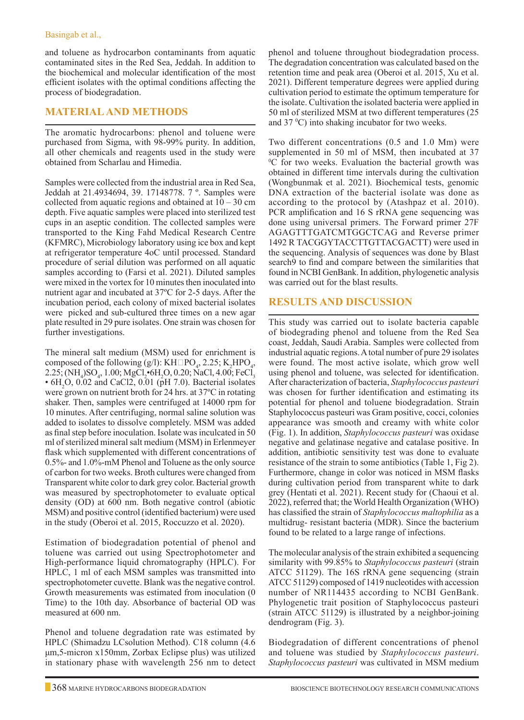### Basingab et al.,

and toluene as hydrocarbon contaminants from aquatic contaminated sites in the Red Sea, Jeddah. In addition to the biochemical and molecular identification of the most efficient isolates with the optimal conditions affecting the process of biodegradation.

## **Material and Methods**

The aromatic hydrocarbons: phenol and toluene were purchased from Sigma, with 98-99% purity. In addition, all other chemicals and reagents used in the study were obtained from Scharlau and Himedia.

Samples were collected from the industrial area in Red Sea, Jeddah at 21.4934694, 39. 17148778. 7 º. Samples were collected from aquatic regions and obtained at  $10 - 30$  cm depth. Five aquatic samples were placed into sterilized test cups in an aseptic condition. The collected samples were transported to the King Fahd Medical Research Centre (KFMRC), Microbiology laboratory using ice box and kept at refrigerator temperature 4oC until processed. Standard procedure of serial dilution was performed on all aquatic samples according to (Farsi et al. 2021). Diluted samples were mixed in the vortex for 10 minutes then inoculated into nutrient agar and incubated at 37ºC for 2-5 days. After the incubation period, each colony of mixed bacterial isolates were picked and sub-cultured three times on a new agar plate resulted in 29 pure isolates. One strain was chosen for further investigations.

The mineral salt medium (MSM) used for enrichment is composed of the following (g/l):  $KH\square PQ_4$ , 2.25;  $K_2HPQ_4$ , 2.25; (NH<sub>4</sub>)SO<sub>4</sub>, 1.00; MgCl<sub>2</sub>•6H<sub>2</sub>O, 0.20; NaCl, 4.00; FeCl<sub>3</sub>  $\cdot$  6H<sub>2</sub>O, 0.02 and CaCl2, 0.01 (pH 7.0). Bacterial isolates were grown on nutrient broth for 24 hrs. at 37ºC in rotating shaker. Then, samples were centrifuged at 14000 rpm for 10 minutes. After centrifuging, normal saline solution was added to isolates to dissolve completely. MSM was added as final step before inoculation. Isolate was inculcated in 50 ml of sterilized mineral salt medium (MSM) in Erlenmeyer flask which supplemented with different concentrations of 0.5%- and 1.0%-mM Phenol and Toluene as the only source of carbon for two weeks. Broth cultures were changed from Transparent white color to dark grey color. Bacterial growth was measured by spectrophotometer to evaluate optical density (OD) at 600 nm. Both negative control (abiotic MSM) and positive control (identified bacterium) were used in the study (Oberoi et al. 2015, Roccuzzo et al. 2020).

Estimation of biodegradation potential of phenol and toluene was carried out using Spectrophotometer and High-performance liquid chromatography (HPLC). For HPLC, 1 ml of each MSM samples was transmitted into spectrophotometer cuvette. Blank was the negative control. Growth measurements was estimated from inoculation (0 Time) to the 10th day. Absorbance of bacterial OD was measured at 600 nm.

Phenol and toluene degradation rate was estimated by HPLC (Shimadzu LCsolution Method). C18 column (4.6 μm,5-micron x150mm, Zorbax Eclipse plus) was utilized in stationary phase with wavelength 256 nm to detect phenol and toluene throughout biodegradation process. The degradation concentration was calculated based on the retention time and peak area (Oberoi et al. 2015, Xu et al. 2021). Different temperature degrees were applied during cultivation period to estimate the optimum temperature for the isolate. Cultivation the isolated bacteria were applied in 50 ml of sterilized MSM at two different temperatures (25 and  $37 \text{ }^{\circ}\text{C}$ ) into shaking incubator for two weeks.

Two different concentrations (0.5 and 1.0 Mm) were supplemented in 50 ml of MSM, then incubated at 37 0 C for two weeks. Evaluation the bacterial growth was obtained in different time intervals during the cultivation (Wongbunmak et al. 2021). Biochemical tests, genomic DNA extraction of the bacterial isolate was done as according to the protocol by (Atashpaz et al. 2010). PCR amplification and 16 S rRNA gene sequencing was done using universal primers. The Forward primer 27F AGAGTTTGATCMTGGCTCAG and Reverse primer 1492 R TACGGYTACCTTGTTACGACTT) were used in the sequencing. Analysis of sequences was done by Blast search9 to find and compare between the similarities that found in NCBI GenBank. In addition, phylogenetic analysis was carried out for the blast results.

# **Results and discussion**

This study was carried out to isolate bacteria capable of biodegrading phenol and toluene from the Red Sea coast, Jeddah, Saudi Arabia. Samples were collected from industrial aquatic regions. A total number of pure 29 isolates were found. The most active isolate, which grow well using phenol and toluene, was selected for identification. After characterization of bacteria, *Staphylococcus pasteuri*  was chosen for further identification and estimating its potential for phenol and toluene biodegradation. Strain Staphylococcus pasteuri was Gram positive, cocci, colonies appearance was smooth and creamy with white color (Fig. 1). In addition, *Staphylococcus pasteuri* was oxidase negative and gelatinase negative and catalase positive. In addition, antibiotic sensitivity test was done to evaluate resistance of the strain to some antibiotics (Table 1, Fig 2). Furthermore, change in color was noticed in MSM flasks during cultivation period from transparent white to dark grey (Hentati et al. 2021). Recent study for (Chaoui et al. 2022), referred that; the World Health Organization (WHO) has classified the strain of *Staphylococcus maltophilia* as a multidrug- resistant bacteria (MDR). Since the bacterium found to be related to a large range of infections.

The molecular analysis of the strain exhibited a sequencing similarity with 99.85% to *Staphylococcus pasteuri* (strain ATCC 51129). The 16S rRNA gene sequencing (strain ATCC 51129) composed of 1419 nucleotides with accession number of NR114435 according to NCBI GenBank. Phylogenetic trait position of Staphylococcus pasteuri (strain ATCC 51129) is illustrated by a neighbor-joining dendrogram (Fig. 3).

Biodegradation of different concentrations of phenol and toluene was studied by *Staphylococcus pasteuri*. *Staphylococcus pasteuri* was cultivated in MSM medium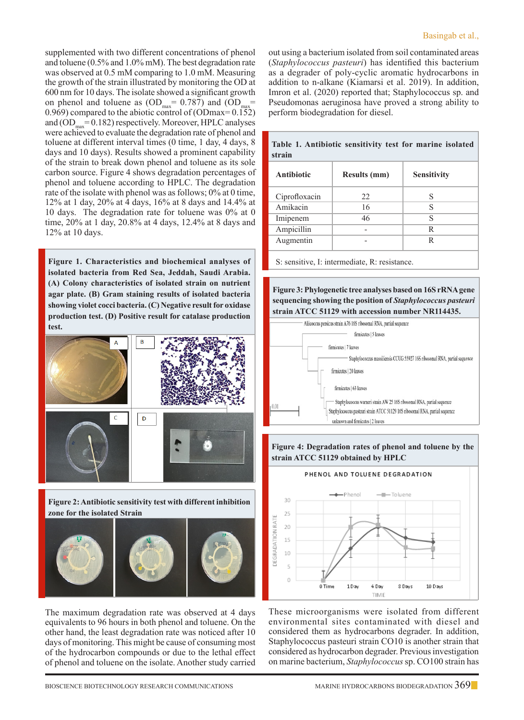supplemented with two different concentrations of phenol and toluene (0.5% and 1.0% mM). The best degradation rate was observed at 0.5 mM comparing to 1.0 mM. Measuring the growth of the strain illustrated by monitoring the OD at 600 nm for 10 days. The isolate showed a significant growth on phenol and toluene as  $OD_{max} = 0.787$  and  $OD_{max} =$ 0.969) compared to the abiotic control of (ODmax= 0.152) and  $OD_{\text{max}}= 0.182$ ) respectively. Moreover, HPLC analyses were achieved to evaluate the degradation rate of phenol and toluene at different interval times (0 time, 1 day, 4 days, 8 days and 10 days). Results showed a prominent capability of the strain to break down phenol and toluene as its sole carbon source. Figure 4 shows degradation percentages of phenol and toluene according to HPLC. The degradation rate of the isolate with phenol was as follows; 0% at 0 time, 12% at 1 day, 20% at 4 days, 16% at 8 days and 14.4% at 10 days. The degradation rate for toluene was 0% at 0 time, 20% at 1 day, 20.8% at 4 days, 12.4% at 8 days and 12% at 10 days.

**Figure 1. Characteristics and biochemical analyses of isolated bacteria from Red Sea, Jeddah, Saudi Arabia. (A) Colony characteristics of isolated strain on nutrient agar plate. (B) Gram staining results of isolated bacteria showing violet cocci bacteria. (C) Negative result for oxidase production test. (D) Positive result for catalase production test.**



**Figure 2: Antibiotic sensitivity test with different inhibition zone for the isolated Strain**



The maximum degradation rate was observed at 4 days equivalents to 96 hours in both phenol and toluene. On the other hand, the least degradation rate was noticed after 10 days of monitoring. This might be cause of consuming most of the hydrocarbon compounds or due to the lethal effect of phenol and toluene on the isolate. Another study carried out using a bacterium isolated from soil contaminated areas (*Staphylococcus pasteuri*) has identified this bacterium as a degrader of poly-cyclic aromatic hydrocarbons in addition to n-alkane (Kiamarsi et al. 2019). In addition, Imron et al. (2020) reported that; Staphylococcus sp. and Pseudomonas aeruginosa have proved a strong ability to perform biodegradation for diesel.

| strain            |                     |             |
|-------------------|---------------------|-------------|
| <b>Antibiotic</b> | <b>Results (mm)</b> | Sensitivity |
| Ciprofloxacin     | 22                  |             |
| Amikacin          | 16                  | S           |
| Imipenem          | 46                  | S           |
| Ampicillin        |                     | R           |
| Augmentin         |                     | R           |

**Table 1. Antibiotic sensitivity test for marine isolated** 

S: sensitive, I: intermediate, R: resistance.

**Figure 3: Phylogenetic tree analyses based on 16S rRNA gene sequencing showing the position of** *Staphylococcus pasteuri* **strain ATCC 51129 with accession number NR114435.**



**Figure 4: Degradation rates of phenol and toluene by the strain ATCC 51129 obtained by HPLC**



These microorganisms were isolated from different environmental sites contaminated with diesel and considered them as hydrocarbons degrader. In addition, Staphylococcus pasteuri strain CO10 is another strain that considered as hydrocarbon degrader. Previous investigation on marine bacterium, *Staphylococcus* sp. CO100 strain has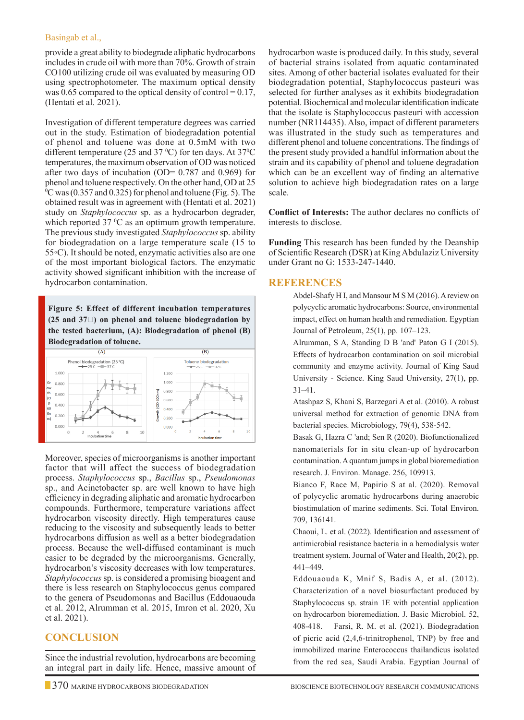### Basingab et al.,

provide a great ability to biodegrade aliphatic hydrocarbons includes in crude oil with more than 70%. Growth of strain CO100 utilizing crude oil was evaluated by measuring OD using spectrophotometer. The maximum optical density was 0.65 compared to the optical density of control =  $0.17$ , (Hentati et al. 2021).

Investigation of different temperature degrees was carried out in the study. Estimation of biodegradation potential of phenol and toluene was done at 0.5mM with two different temperature (25 and 37  $^{\circ}$ C) for ten days. At 37 $^{\circ}$ C temperatures, the maximum observation of OD was noticed after two days of incubation (OD=  $0.787$  and  $0.969$ ) for phenol and toluene respectively. On the other hand, OD at 25  $\rm{^0C}$  was (0.357 and 0.325) for phenol and toluene (Fig. 5). The obtained result was in agreement with (Hentati et al. 2021) study on *Staphylococcus* sp. as a hydrocarbon degrader, which reported 37  $\mathrm{^0C}$  as an optimum growth temperature. The previous study investigated *Staphylococcus* sp. ability for biodegradation on a large temperature scale (15 to 55◦C). It should be noted, enzymatic activities also are one of the most important biological factors. The enzymatic activity showed significant inhibition with the increase of hydrocarbon contamination.

**Figure 5: Effect of different incubation temperatures (25 and 37℃) on phenol and toluene biodegradation by the tested bacterium, (A): Biodegradation of phenol (B) Biodegradation of toluene.**



Moreover, species of microorganisms is another important factor that will affect the success of biodegradation process. *Staphylococcus* sp., *Bacillus* sp., *Pseudomonas*  sp., and Acinetobacter sp. are well known to have high efficiency in degrading aliphatic and aromatic hydrocarbon compounds. Furthermore, temperature variations affect hydrocarbon viscosity directly. High temperatures cause reducing to the viscosity and subsequently leads to better hydrocarbons diffusion as well as a better biodegradation process. Because the well-diffused contaminant is much easier to be degraded by the microorganisms. Generally, hydrocarbon's viscosity decreases with low temperatures. *Staphylococcus* sp. is considered a promising bioagent and there is less research on Staphylococcus genus compared to the genera of Pseudomonas and Bacillus (Eddouaouda et al. 2012, Alrumman et al. 2015, Imron et al. 2020, Xu et al. 2021).

# **Conclusion**

Since the industrial revolution, hydrocarbons are becoming an integral part in daily life. Hence, massive amount of hydrocarbon waste is produced daily. In this study, several of bacterial strains isolated from aquatic contaminated sites. Among of other bacterial isolates evaluated for their biodegradation potential, Staphylococcus pasteuri was selected for further analyses as it exhibits biodegradation potential. Biochemical and molecular identification indicate that the isolate is Staphylococcus pasteuri with accession number (NR114435). Also, impact of different parameters was illustrated in the study such as temperatures and different phenol and toluene concentrations. The findings of the present study provided a handful information about the strain and its capability of phenol and toluene degradation which can be an excellent way of finding an alternative solution to achieve high biodegradation rates on a large scale.

**Conflict of Interests:** The author declares no conflicts of interests to disclose.

**Funding** This research has been funded by the Deanship of Scientific Research (DSR) at King Abdulaziz University under Grant no G: 1533-247-1440.

## **References**

Abdel-Shafy H I, and Mansour M S M (2016). A review on polycyclic aromatic hydrocarbons: Source, environmental impact, effect on human health and remediation. Egyptian Journal of Petroleum, 25(1), pp. 107–123.

Alrumman, S A, Standing D B 'and' Paton G I (2015). Effects of hydrocarbon contamination on soil microbial community and enzyme activity. Journal of King Saud University - Science. King Saud University, 27(1), pp. 31–41.

Atashpaz S, Khani S, Barzegari A et al. (2010). A robust universal method for extraction of genomic DNA from bacterial species. Microbiology, 79(4), 538-542.

Basak G, Hazra C 'and; Sen R (2020). Biofunctionalized nanomaterials for in situ clean-up of hydrocarbon contamination. A quantum jumps in global bioremediation research. J. Environ. Manage. 256, 109913.

Bianco F, Race M, Papirio S at al. (2020). Removal of polycyclic aromatic hydrocarbons during anaerobic biostimulation of marine sediments. Sci. Total Environ. 709, 136141.

Chaoui, L. et al. (2022). Identification and assessment of antimicrobial resistance bacteria in a hemodialysis water treatment system. Journal of Water and Health, 20(2), pp. 441–449.

 Eddouaouda K, Mnif S, Badis A, et al. (2012). Characterization of a novel biosurfactant produced by Staphylococcus sp. strain 1E with potential application on hydrocarbon bioremediation. J. Basic Microbiol. 52, 408-418. Farsi, R. M. et al. (2021). Biodegradation of picric acid (2,4,6-trinitrophenol, TNP) by free and immobilized marine Enterococcus thailandicus isolated from the red sea, Saudi Arabia. Egyptian Journal of